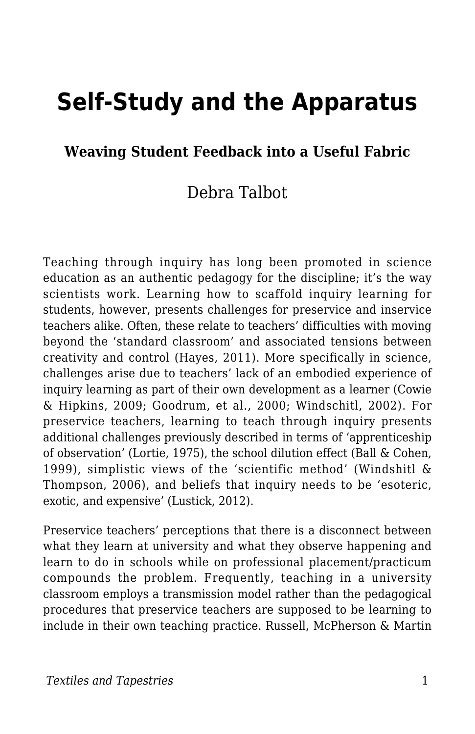# **Self-Study and the Apparatus**

#### **Weaving Student Feedback into a Useful Fabric**

#### Debra Talbot

Teaching through inquiry has long been promoted in science education as an authentic pedagogy for the discipline; it's the way scientists work. Learning how to scaffold inquiry learning for students, however, presents challenges for preservice and inservice teachers alike. Often, these relate to teachers' difficulties with moving beyond the 'standard classroom' and associated tensions between creativity and control (Hayes, 2011). More specifically in science, challenges arise due to teachers' lack of an embodied experience of inquiry learning as part of their own development as a learner (Cowie & Hipkins, 2009; Goodrum, et al., 2000; Windschitl, 2002). For preservice teachers, learning to teach through inquiry presents additional challenges previously described in terms of 'apprenticeship of observation' (Lortie, 1975), the school dilution effect (Ball & Cohen, 1999), simplistic views of the 'scientific method' (Windshitl & Thompson, 2006), and beliefs that inquiry needs to be 'esoteric, exotic, and expensive' (Lustick, 2012).

Preservice teachers' perceptions that there is a disconnect between what they learn at university and what they observe happening and learn to do in schools while on professional placement/practicum compounds the problem. Frequently, teaching in a university classroom employs a transmission model rather than the pedagogical procedures that preservice teachers are supposed to be learning to include in their own teaching practice. Russell, McPherson & Martin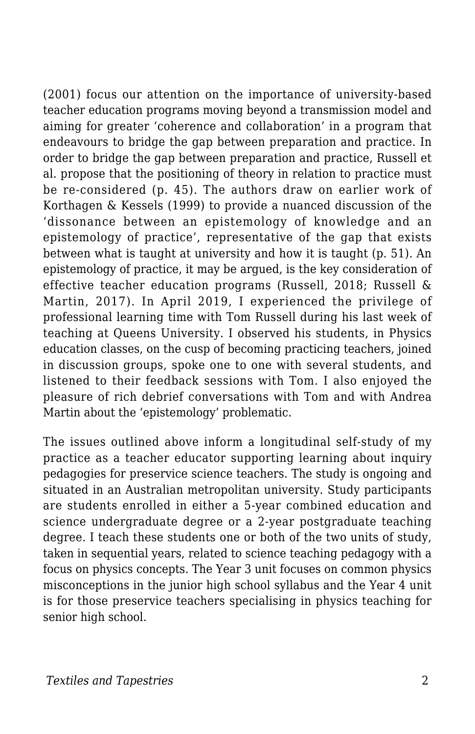(2001) focus our attention on the importance of university-based teacher education programs moving beyond a transmission model and aiming for greater 'coherence and collaboration' in a program that endeavours to bridge the gap between preparation and practice. In order to bridge the gap between preparation and practice, Russell et al. propose that the positioning of theory in relation to practice must be re-considered (p. 45). The authors draw on earlier work of Korthagen & Kessels (1999) to provide a nuanced discussion of the 'dissonance between an epistemology of knowledge and an epistemology of practice', representative of the gap that exists between what is taught at university and how it is taught (p. 51). An epistemology of practice, it may be argued, is the key consideration of effective teacher education programs (Russell, 2018; Russell & Martin, 2017). In April 2019, I experienced the privilege of professional learning time with Tom Russell during his last week of teaching at Queens University. I observed his students, in Physics education classes, on the cusp of becoming practicing teachers, joined in discussion groups, spoke one to one with several students, and listened to their feedback sessions with Tom. I also enjoyed the pleasure of rich debrief conversations with Tom and with Andrea Martin about the 'epistemology' problematic.

The issues outlined above inform a longitudinal self-study of my practice as a teacher educator supporting learning about inquiry pedagogies for preservice science teachers. The study is ongoing and situated in an Australian metropolitan university. Study participants are students enrolled in either a 5-year combined education and science undergraduate degree or a 2-year postgraduate teaching degree. I teach these students one or both of the two units of study, taken in sequential years, related to science teaching pedagogy with a focus on physics concepts. The Year 3 unit focuses on common physics misconceptions in the junior high school syllabus and the Year 4 unit is for those preservice teachers specialising in physics teaching for senior high school.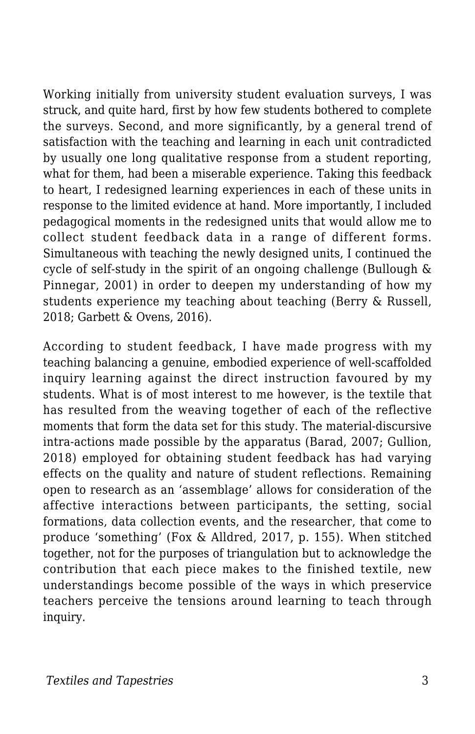Working initially from university student evaluation surveys, I was struck, and quite hard, first by how few students bothered to complete the surveys. Second, and more significantly, by a general trend of satisfaction with the teaching and learning in each unit contradicted by usually one long qualitative response from a student reporting, what for them, had been a miserable experience. Taking this feedback to heart, I redesigned learning experiences in each of these units in response to the limited evidence at hand. More importantly, I included pedagogical moments in the redesigned units that would allow me to collect student feedback data in a range of different forms. Simultaneous with teaching the newly designed units, I continued the cycle of self-study in the spirit of an ongoing challenge (Bullough & Pinnegar, 2001) in order to deepen my understanding of how my students experience my teaching about teaching (Berry & Russell, 2018; Garbett & Ovens, 2016).

According to student feedback, I have made progress with my teaching balancing a genuine, embodied experience of well-scaffolded inquiry learning against the direct instruction favoured by my students. What is of most interest to me however, is the textile that has resulted from the weaving together of each of the reflective moments that form the data set for this study. The material-discursive intra-actions made possible by the apparatus (Barad, 2007; Gullion, 2018) employed for obtaining student feedback has had varying effects on the quality and nature of student reflections. Remaining open to research as an 'assemblage' allows for consideration of the affective interactions between participants, the setting, social formations, data collection events, and the researcher, that come to produce 'something' (Fox & Alldred, 2017, p. 155). When stitched together, not for the purposes of triangulation but to acknowledge the contribution that each piece makes to the finished textile, new understandings become possible of the ways in which preservice teachers perceive the tensions around learning to teach through inquiry.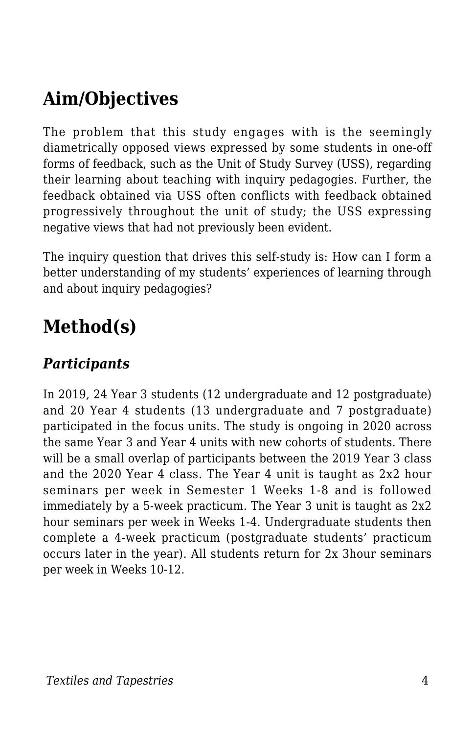## **Aim/Objectives**

The problem that this study engages with is the seemingly diametrically opposed views expressed by some students in one-off forms of feedback, such as the Unit of Study Survey (USS), regarding their learning about teaching with inquiry pedagogies. Further, the feedback obtained via USS often conflicts with feedback obtained progressively throughout the unit of study; the USS expressing negative views that had not previously been evident.

The inquiry question that drives this self-study is: How can I form a better understanding of my students' experiences of learning through and about inquiry pedagogies?

### **Method(s)**

#### *Participants*

In 2019, 24 Year 3 students (12 undergraduate and 12 postgraduate) and 20 Year 4 students (13 undergraduate and 7 postgraduate) participated in the focus units. The study is ongoing in 2020 across the same Year 3 and Year 4 units with new cohorts of students. There will be a small overlap of participants between the 2019 Year 3 class and the 2020 Year 4 class. The Year 4 unit is taught as 2x2 hour seminars per week in Semester 1 Weeks 1-8 and is followed immediately by a 5-week practicum. The Year 3 unit is taught as 2x2 hour seminars per week in Weeks 1-4. Undergraduate students then complete a 4-week practicum (postgraduate students' practicum occurs later in the year). All students return for 2x 3hour seminars per week in Weeks 10-12.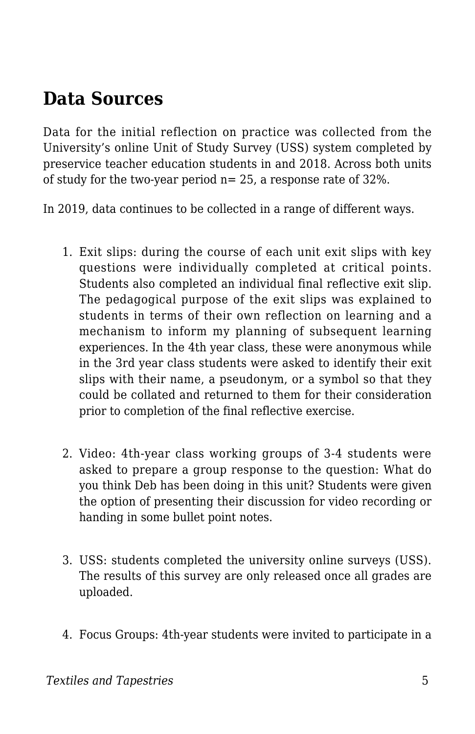### **Data Sources**

Data for the initial reflection on practice was collected from the University's online Unit of Study Survey (USS) system completed by preservice teacher education students in and 2018. Across both units of study for the two-year period n= 25, a response rate of 32%.

In 2019, data continues to be collected in a range of different ways.

- 1. Exit slips: during the course of each unit exit slips with key questions were individually completed at critical points. Students also completed an individual final reflective exit slip. The pedagogical purpose of the exit slips was explained to students in terms of their own reflection on learning and a mechanism to inform my planning of subsequent learning experiences. In the 4th year class, these were anonymous while in the 3rd year class students were asked to identify their exit slips with their name, a pseudonym, or a symbol so that they could be collated and returned to them for their consideration prior to completion of the final reflective exercise.
- 2. Video: 4th-year class working groups of 3-4 students were asked to prepare a group response to the question: What do you think Deb has been doing in this unit? Students were given the option of presenting their discussion for video recording or handing in some bullet point notes.
- 3. USS: students completed the university online surveys (USS). The results of this survey are only released once all grades are uploaded.
- 4. Focus Groups: 4th-year students were invited to participate in a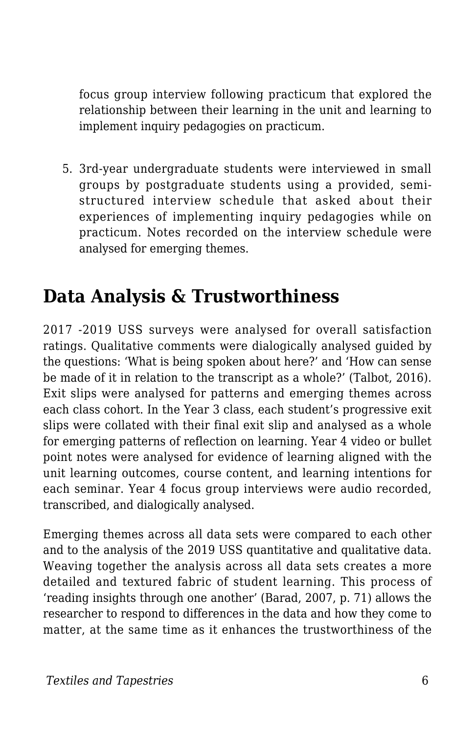focus group interview following practicum that explored the relationship between their learning in the unit and learning to implement inquiry pedagogies on practicum.

5. 3rd-year undergraduate students were interviewed in small groups by postgraduate students using a provided, semistructured interview schedule that asked about their experiences of implementing inquiry pedagogies while on practicum. Notes recorded on the interview schedule were analysed for emerging themes.

#### **Data Analysis & Trustworthiness**

2017 -2019 USS surveys were analysed for overall satisfaction ratings. Qualitative comments were dialogically analysed guided by the questions: 'What is being spoken about here?' and 'How can sense be made of it in relation to the transcript as a whole?' (Talbot, 2016). Exit slips were analysed for patterns and emerging themes across each class cohort. In the Year 3 class, each student's progressive exit slips were collated with their final exit slip and analysed as a whole for emerging patterns of reflection on learning. Year 4 video or bullet point notes were analysed for evidence of learning aligned with the unit learning outcomes, course content, and learning intentions for each seminar. Year 4 focus group interviews were audio recorded, transcribed, and dialogically analysed.

Emerging themes across all data sets were compared to each other and to the analysis of the 2019 USS quantitative and qualitative data. Weaving together the analysis across all data sets creates a more detailed and textured fabric of student learning. This process of 'reading insights through one another' (Barad, 2007, p. 71) allows the researcher to respond to differences in the data and how they come to matter, at the same time as it enhances the trustworthiness of the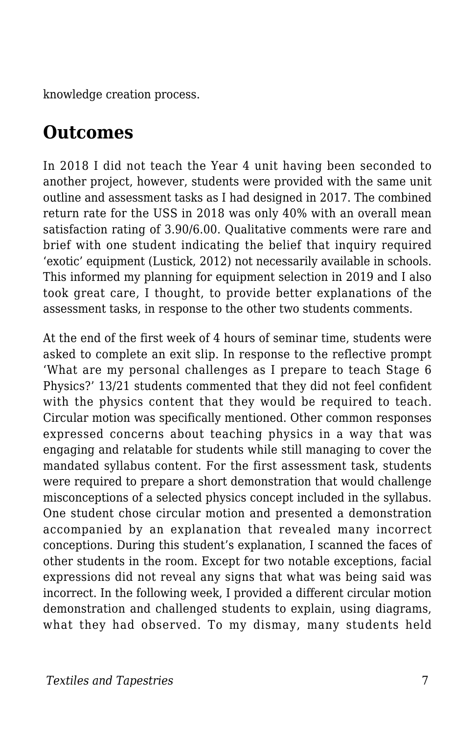knowledge creation process.

#### **Outcomes**

In 2018 I did not teach the Year 4 unit having been seconded to another project, however, students were provided with the same unit outline and assessment tasks as I had designed in 2017. The combined return rate for the USS in 2018 was only 40% with an overall mean satisfaction rating of 3.90/6.00. Qualitative comments were rare and brief with one student indicating the belief that inquiry required 'exotic' equipment (Lustick, 2012) not necessarily available in schools. This informed my planning for equipment selection in 2019 and I also took great care, I thought, to provide better explanations of the assessment tasks, in response to the other two students comments.

At the end of the first week of 4 hours of seminar time, students were asked to complete an exit slip. In response to the reflective prompt 'What are my personal challenges as I prepare to teach Stage 6 Physics?' 13/21 students commented that they did not feel confident with the physics content that they would be required to teach. Circular motion was specifically mentioned. Other common responses expressed concerns about teaching physics in a way that was engaging and relatable for students while still managing to cover the mandated syllabus content. For the first assessment task, students were required to prepare a short demonstration that would challenge misconceptions of a selected physics concept included in the syllabus. One student chose circular motion and presented a demonstration accompanied by an explanation that revealed many incorrect conceptions. During this student's explanation, I scanned the faces of other students in the room. Except for two notable exceptions, facial expressions did not reveal any signs that what was being said was incorrect. In the following week, I provided a different circular motion demonstration and challenged students to explain, using diagrams, what they had observed. To my dismay, many students held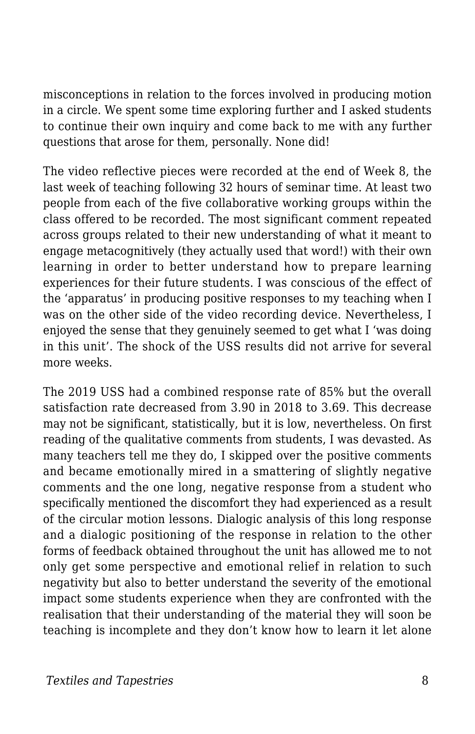misconceptions in relation to the forces involved in producing motion in a circle. We spent some time exploring further and I asked students to continue their own inquiry and come back to me with any further questions that arose for them, personally. None did!

The video reflective pieces were recorded at the end of Week 8, the last week of teaching following 32 hours of seminar time. At least two people from each of the five collaborative working groups within the class offered to be recorded. The most significant comment repeated across groups related to their new understanding of what it meant to engage metacognitively (they actually used that word!) with their own learning in order to better understand how to prepare learning experiences for their future students. I was conscious of the effect of the 'apparatus' in producing positive responses to my teaching when I was on the other side of the video recording device. Nevertheless, I enjoyed the sense that they genuinely seemed to get what I 'was doing in this unit'. The shock of the USS results did not arrive for several more weeks.

The 2019 USS had a combined response rate of 85% but the overall satisfaction rate decreased from 3.90 in 2018 to 3.69. This decrease may not be significant, statistically, but it is low, nevertheless. On first reading of the qualitative comments from students, I was devasted. As many teachers tell me they do, I skipped over the positive comments and became emotionally mired in a smattering of slightly negative comments and the one long, negative response from a student who specifically mentioned the discomfort they had experienced as a result of the circular motion lessons. Dialogic analysis of this long response and a dialogic positioning of the response in relation to the other forms of feedback obtained throughout the unit has allowed me to not only get some perspective and emotional relief in relation to such negativity but also to better understand the severity of the emotional impact some students experience when they are confronted with the realisation that their understanding of the material they will soon be teaching is incomplete and they don't know how to learn it let alone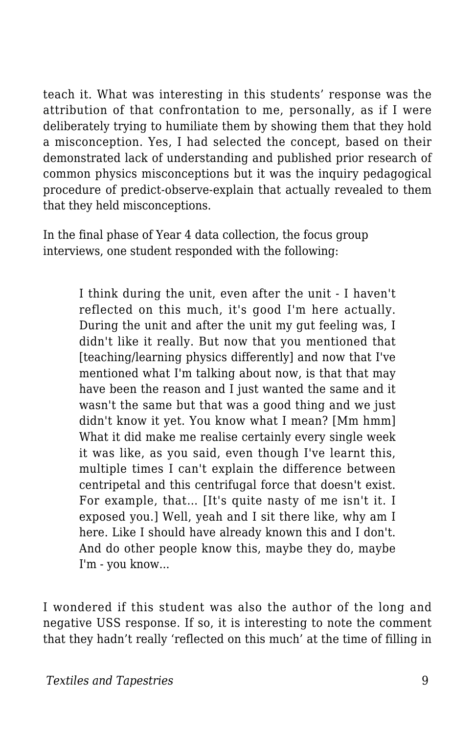teach it. What was interesting in this students' response was the attribution of that confrontation to me, personally, as if I were deliberately trying to humiliate them by showing them that they hold a misconception. Yes, I had selected the concept, based on their demonstrated lack of understanding and published prior research of common physics misconceptions but it was the inquiry pedagogical procedure of predict-observe-explain that actually revealed to them that they held misconceptions.

In the final phase of Year 4 data collection, the focus group interviews, one student responded with the following:

> I think during the unit, even after the unit - I haven't reflected on this much, it's good I'm here actually. During the unit and after the unit my gut feeling was, I didn't like it really. But now that you mentioned that [teaching/learning physics differently] and now that I've mentioned what I'm talking about now, is that that may have been the reason and I just wanted the same and it wasn't the same but that was a good thing and we just didn't know it yet. You know what I mean? [Mm hmm] What it did make me realise certainly every single week it was like, as you said, even though I've learnt this, multiple times I can't explain the difference between centripetal and this centrifugal force that doesn't exist. For example, that… [It's quite nasty of me isn't it. I exposed you.] Well, yeah and I sit there like, why am I here. Like I should have already known this and I don't. And do other people know this, maybe they do, maybe I'm - you know...

I wondered if this student was also the author of the long and negative USS response. If so, it is interesting to note the comment that they hadn't really 'reflected on this much' at the time of filling in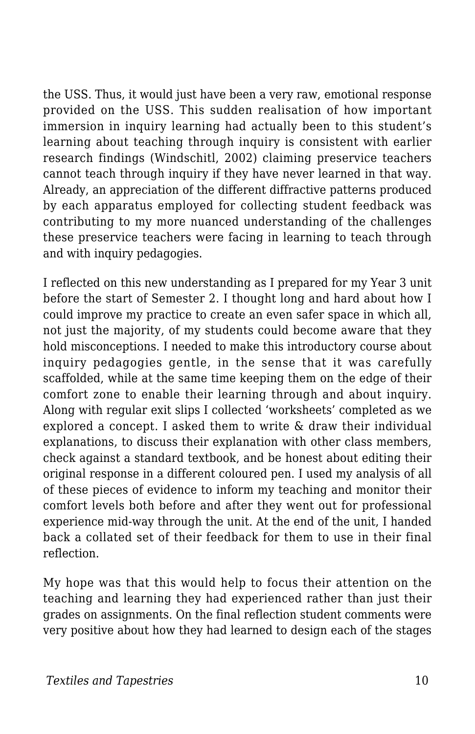the USS. Thus, it would just have been a very raw, emotional response provided on the USS. This sudden realisation of how important immersion in inquiry learning had actually been to this student's learning about teaching through inquiry is consistent with earlier research findings (Windschitl, 2002) claiming preservice teachers cannot teach through inquiry if they have never learned in that way. Already, an appreciation of the different diffractive patterns produced by each apparatus employed for collecting student feedback was contributing to my more nuanced understanding of the challenges these preservice teachers were facing in learning to teach through and with inquiry pedagogies.

I reflected on this new understanding as I prepared for my Year 3 unit before the start of Semester 2. I thought long and hard about how I could improve my practice to create an even safer space in which all, not just the majority, of my students could become aware that they hold misconceptions. I needed to make this introductory course about inquiry pedagogies gentle, in the sense that it was carefully scaffolded, while at the same time keeping them on the edge of their comfort zone to enable their learning through and about inquiry. Along with regular exit slips I collected 'worksheets' completed as we explored a concept. I asked them to write & draw their individual explanations, to discuss their explanation with other class members, check against a standard textbook, and be honest about editing their original response in a different coloured pen. I used my analysis of all of these pieces of evidence to inform my teaching and monitor their comfort levels both before and after they went out for professional experience mid-way through the unit. At the end of the unit, I handed back a collated set of their feedback for them to use in their final reflection.

My hope was that this would help to focus their attention on the teaching and learning they had experienced rather than just their grades on assignments. On the final reflection student comments were very positive about how they had learned to design each of the stages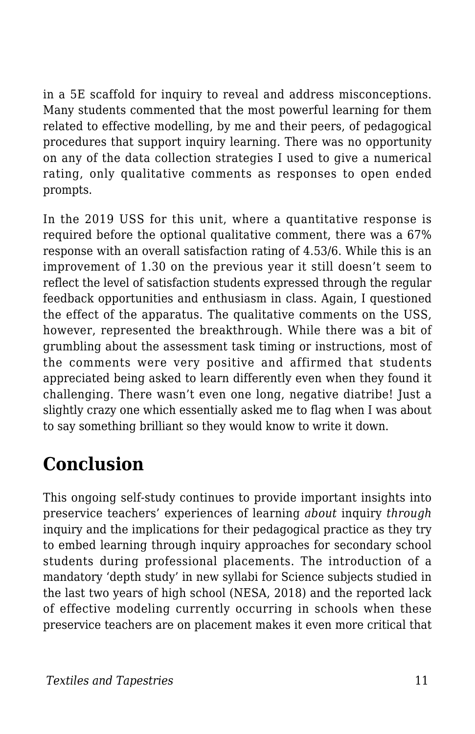in a 5E scaffold for inquiry to reveal and address misconceptions. Many students commented that the most powerful learning for them related to effective modelling, by me and their peers, of pedagogical procedures that support inquiry learning. There was no opportunity on any of the data collection strategies I used to give a numerical rating, only qualitative comments as responses to open ended prompts.

In the 2019 USS for this unit, where a quantitative response is required before the optional qualitative comment, there was a 67% response with an overall satisfaction rating of 4.53/6. While this is an improvement of 1.30 on the previous year it still doesn't seem to reflect the level of satisfaction students expressed through the regular feedback opportunities and enthusiasm in class. Again, I questioned the effect of the apparatus. The qualitative comments on the USS, however, represented the breakthrough. While there was a bit of grumbling about the assessment task timing or instructions, most of the comments were very positive and affirmed that students appreciated being asked to learn differently even when they found it challenging. There wasn't even one long, negative diatribe! Just a slightly crazy one which essentially asked me to flag when I was about to say something brilliant so they would know to write it down.

### **Conclusion**

This ongoing self-study continues to provide important insights into preservice teachers' experiences of learning *about* inquiry *through* inquiry and the implications for their pedagogical practice as they try to embed learning through inquiry approaches for secondary school students during professional placements. The introduction of a mandatory 'depth study' in new syllabi for Science subjects studied in the last two years of high school (NESA, 2018) and the reported lack of effective modeling currently occurring in schools when these preservice teachers are on placement makes it even more critical that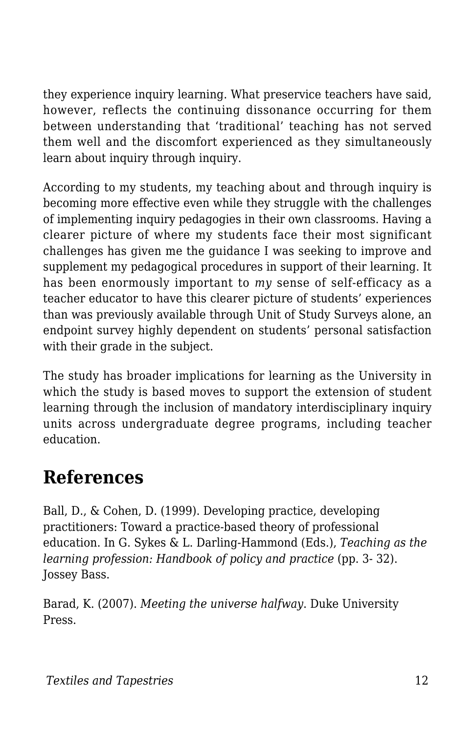they experience inquiry learning. What preservice teachers have said, however, reflects the continuing dissonance occurring for them between understanding that 'traditional' teaching has not served them well and the discomfort experienced as they simultaneously learn about inquiry through inquiry.

According to my students, my teaching about and through inquiry is becoming more effective even while they struggle with the challenges of implementing inquiry pedagogies in their own classrooms. Having a clearer picture of where my students face their most significant challenges has given me the guidance I was seeking to improve and supplement my pedagogical procedures in support of their learning. It has been enormously important to *my* sense of self-efficacy as a teacher educator to have this clearer picture of students' experiences than was previously available through Unit of Study Surveys alone, an endpoint survey highly dependent on students' personal satisfaction with their grade in the subject.

The study has broader implications for learning as the University in which the study is based moves to support the extension of student learning through the inclusion of mandatory interdisciplinary inquiry units across undergraduate degree programs, including teacher education.

### **References**

Ball, D., & Cohen, D. (1999). Developing practice, developing practitioners: Toward a practice-based theory of professional education. In G. Sykes & L. Darling-Hammond (Eds.), *Teaching as the learning profession: Handbook of policy and practice* (pp. 3- 32). Jossey Bass.

Barad, K. (2007). *Meeting the universe halfway*. Duke University Press.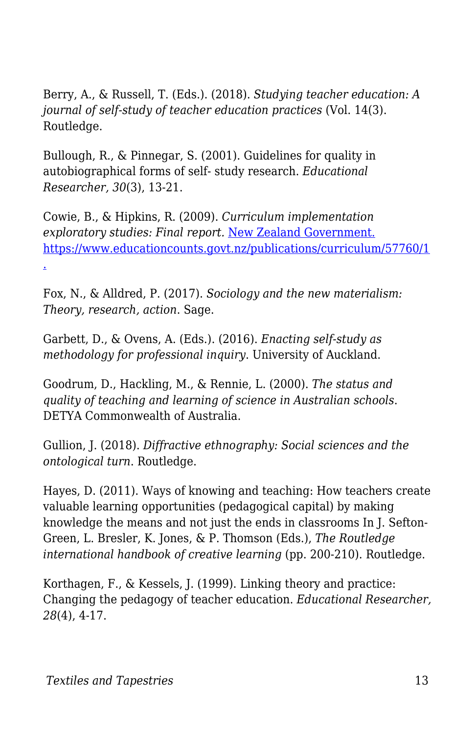Berry, A., & Russell, T. (Eds.). (2018). *Studying teacher education: A journal of self-study of teacher education practices* (Vol. 14(3). Routledge.

Bullough, R., & Pinnegar, S. (2001). Guidelines for quality in autobiographical forms of self- study research. *Educational Researcher, 30*(3), 13-21.

Cowie, B., & Hipkins, R. (2009). *Curriculum implementation exploratory studies: Final report.* [New Zealand Government.](http://www.educationcounts.govt.nz/publications/curriculum/57760/1) [https://www.educationcounts.govt.nz/publications/curriculum/57760/1](http://www.educationcounts.govt.nz/publications/curriculum/57760/1) [.](http://www.educationcounts.govt.nz/publications/curriculum/57760/1)

Fox, N., & Alldred, P. (2017). *Sociology and the new materialism: Theory, research, action*. Sage.

Garbett, D., & Ovens, A. (Eds.). (2016). *Enacting self-study as methodology for professional inquiry*. University of Auckland.

Goodrum, D., Hackling, M., & Rennie, L. (2000). *The status and quality of teaching and learning of science in Australian schools*. DETYA Commonwealth of Australia.

Gullion, J. (2018). *Diffractive ethnography: Social sciences and the ontological turn*. Routledge.

Hayes, D. (2011). Ways of knowing and teaching: How teachers create valuable learning opportunities (pedagogical capital) by making knowledge the means and not just the ends in classrooms In J. Sefton-Green, L. Bresler, K. Jones, & P. Thomson (Eds.), *The Routledge international handbook of creative learning* (pp. 200-210). Routledge.

Korthagen, F., & Kessels, J. (1999). Linking theory and practice: Changing the pedagogy of teacher education. *Educational Researcher, 28*(4), 4-17.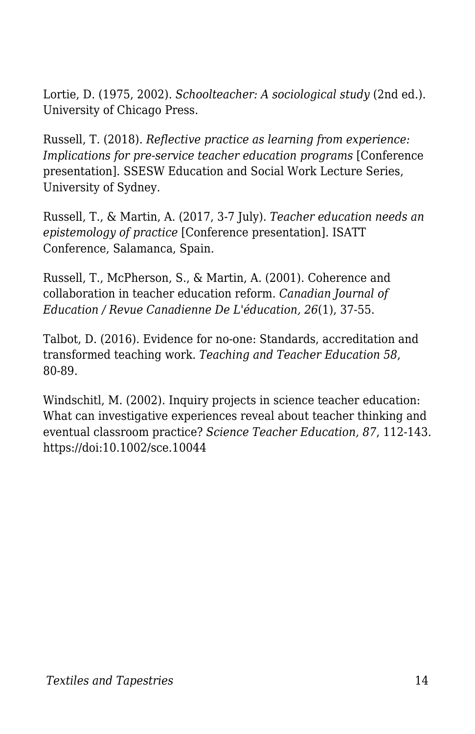Lortie, D. (1975, 2002). *Schoolteacher: A sociological study* (2nd ed.). University of Chicago Press.

Russell, T. (2018). *Reflective practice as learning from experience: Implications for pre-service teacher education programs* [Conference] presentation]. SSESW Education and Social Work Lecture Series, University of Sydney.

Russell, T., & Martin, A. (2017, 3-7 July). *Teacher education needs an epistemology of practice* [Conference presentation]. ISATT Conference, Salamanca, Spain.

Russell, T., McPherson, S., & Martin, A. (2001). Coherence and collaboration in teacher education reform. *Canadian Journal of Education / Revue Canadienne De L'éducation, 26*(1), 37-55.

Talbot, D. (2016). Evidence for no-one: Standards, accreditation and transformed teaching work. *Teaching and Teacher Education 58*, 80-89.

Windschitl, M. (2002). Inquiry projects in science teacher education: What can investigative experiences reveal about teacher thinking and eventual classroom practice? *Science Teacher Education, 87*, 112-143. https://doi:10.1002/sce.10044